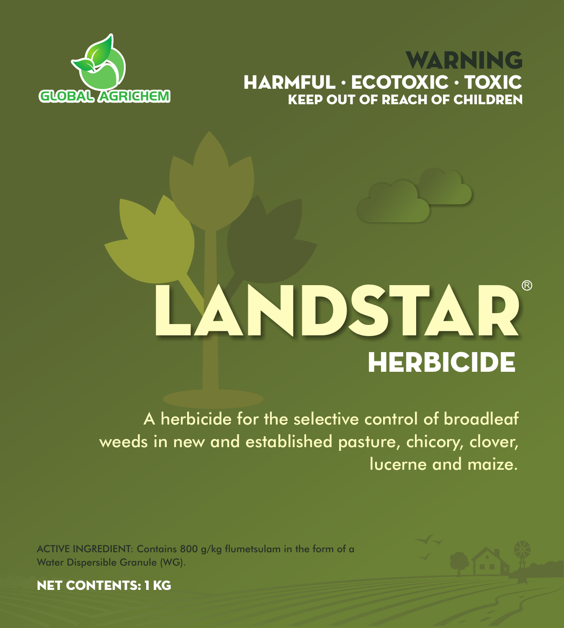## **GLOBAL AGRICHEM** KEEP OUT OF REACH OF CHILDREN WARNING HARMFUL · ECOTOXIC · TOXIC



# **HERBICIDE** LANDSTAR

A herbicide for the selective control of broadleaf weeds in new and established pasture, chicory, clover, lucerne and maize.

ACTIVE INGREDIENT: Contains 800 g/kg flumetsulam in the form of a Water Dispersible Granule (WG).



NET CONTENTS: 1 KG